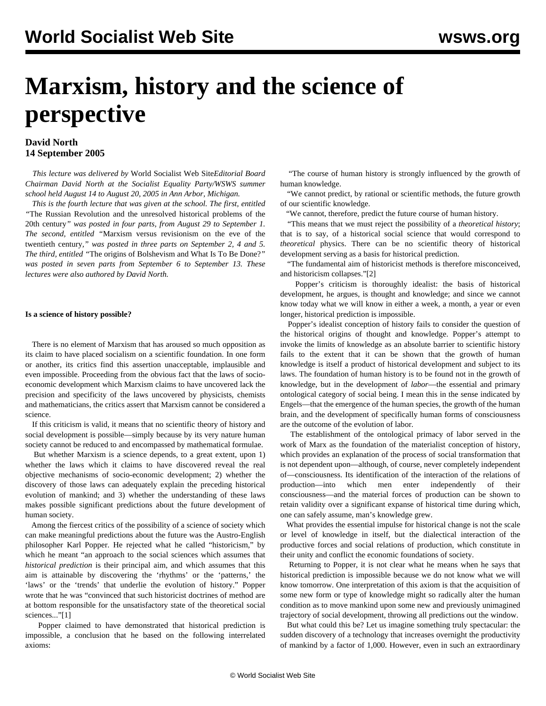# **Marxism, history and the science of perspective**

### **David North 14 September 2005**

 *This lecture was delivered by* World Socialist Web Site*Editorial Board Chairman David North at the Socialist Equality Party/WSWS summer school held August 14 to August 20, 2005 in Ann Arbor, Michigan.*

 *This is the fourth lecture that was given at the school. The first, entitled "*[The Russian Revolution and the unresolved historical problems of the](/en/articles/2005/08/le1-all.html) [20th century](/en/articles/2005/08/le1-all.html)*" was posted in four parts, from August 29 to September 1. The second, entitled "*[Marxism versus revisionism on the eve of the](/en/articles/2005/09/le2-all.html) [twentieth century](/en/articles/2005/09/le2-all.html)*," was posted in three parts on September 2, 4 and 5. The third, entitled "*[The origins of Bolshevism and What Is To Be Done?](/en/articles/2005/09/le3-all.html)*" was posted in seven parts from September 6 to September 13. These lectures were also authored by David North.*

#### **Is a science of history possible?**

 There is no element of Marxism that has aroused so much opposition as its claim to have placed socialism on a scientific foundation. In one form or another, its critics find this assertion unacceptable, implausible and even impossible. Proceeding from the obvious fact that the laws of socioeconomic development which Marxism claims to have uncovered lack the precision and specificity of the laws uncovered by physicists, chemists and mathematicians, the critics assert that Marxism cannot be considered a science.

 If this criticism is valid, it means that no scientific theory of history and social development is possible—simply because by its very nature human society cannot be reduced to and encompassed by mathematical formulae.

 But whether Marxism is a science depends, to a great extent, upon 1) whether the laws which it claims to have discovered reveal the real objective mechanisms of socio-economic development; 2) whether the discovery of those laws can adequately explain the preceding historical evolution of mankind; and 3) whether the understanding of these laws makes possible significant predictions about the future development of human society.

 Among the fiercest critics of the possibility of a science of society which can make meaningful predictions about the future was the Austro-English philosopher Karl Popper. He rejected what he called "historicism," by which he meant "an approach to the social sciences which assumes that *historical prediction* is their principal aim, and which assumes that this aim is attainable by discovering the 'rhythms' or the 'patterns,' the 'laws' or the 'trends' that underlie the evolution of history." Popper wrote that he was "convinced that such historicist doctrines of method are at bottom responsible for the unsatisfactory state of the theoretical social sciences..."[1]

 Popper claimed to have demonstrated that historical prediction is impossible, a conclusion that he based on the following interrelated axioms:

 "The course of human history is strongly influenced by the growth of human knowledge.

 "We cannot predict, by rational or scientific methods, the future growth of our scientific knowledge.

"We cannot, therefore, predict the future course of human history.

 "This means that we must reject the possibility of a *theoretical history*; that is to say, of a historical social science that would correspond to *theoretical* physics. There can be no scientific theory of historical development serving as a basis for historical prediction.

 "The fundamental aim of historicist methods is therefore misconceived, and historicism collapses."[2]

 Popper's criticism is thoroughly idealist: the basis of historical development, he argues, is thought and knowledge; and since we cannot know today what we will know in either a week, a month, a year or even longer, historical prediction is impossible.

 Popper's idealist conception of history fails to consider the question of the historical origins of thought and knowledge. Popper's attempt to invoke the limits of knowledge as an absolute barrier to scientific history fails to the extent that it can be shown that the growth of human knowledge is itself a product of historical development and subject to its laws. The foundation of human history is to be found not in the growth of knowledge, but in the development of *labor*—the essential and primary ontological category of social being. I mean this in the sense indicated by Engels—that the emergence of the human species, the growth of the human brain, and the development of specifically human forms of consciousness are the outcome of the evolution of labor.

 The establishment of the ontological primacy of labor served in the work of Marx as the foundation of the materialist conception of history, which provides an explanation of the process of social transformation that is not dependent upon—although, of course, never completely independent of—consciousness. Its identification of the interaction of the relations of production—into which men enter independently of their consciousness—and the material forces of production can be shown to retain validity over a significant expanse of historical time during which, one can safely assume, man's knowledge grew.

 What provides the essential impulse for historical change is not the scale or level of knowledge in itself, but the dialectical interaction of the productive forces and social relations of production, which constitute in their unity and conflict the economic foundations of society.

 Returning to Popper, it is not clear what he means when he says that historical prediction is impossible because we do not know what we will know tomorrow. One interpretation of this axiom is that the acquisition of some new form or type of knowledge might so radically alter the human condition as to move mankind upon some new and previously unimagined trajectory of social development, throwing all predictions out the window.

 But what could this be? Let us imagine something truly spectacular: the sudden discovery of a technology that increases overnight the productivity of mankind by a factor of 1,000. However, even in such an extraordinary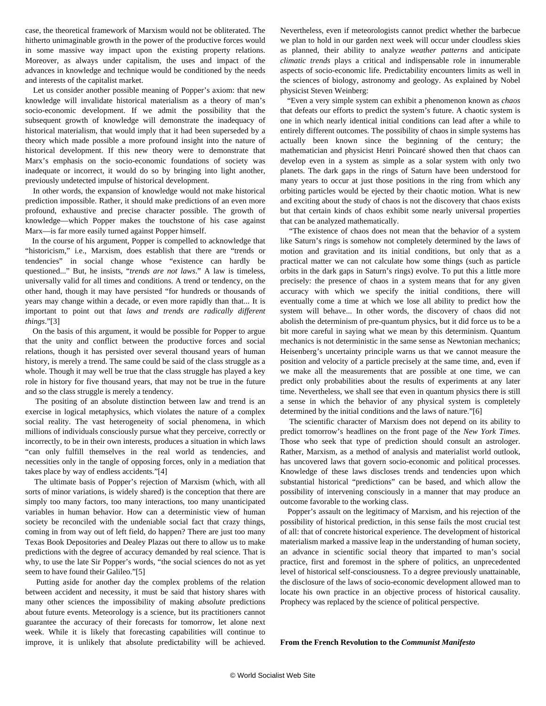case, the theoretical framework of Marxism would not be obliterated. The hitherto unimaginable growth in the power of the productive forces would in some massive way impact upon the existing property relations. Moreover, as always under capitalism, the uses and impact of the advances in knowledge and technique would be conditioned by the needs and interests of the capitalist market.

 Let us consider another possible meaning of Popper's axiom: that new knowledge will invalidate historical materialism as a theory of man's socio-economic development. If we admit the possibility that the subsequent growth of knowledge will demonstrate the inadequacy of historical materialism, that would imply that it had been superseded by a theory which made possible a more profound insight into the nature of historical development. If this new theory were to demonstrate that Marx's emphasis on the socio-economic foundations of society was inadequate or incorrect, it would do so by bringing into light another, previously undetected impulse of historical development.

 In other words, the expansion of knowledge would not make historical prediction impossible. Rather, it should make predictions of an even more profound, exhaustive and precise character possible. The growth of knowledge—which Popper makes the touchstone of his case against Marx—is far more easily turned against Popper himself.

 In the course of his argument, Popper is compelled to acknowledge that "historicism," i.e., Marxism, does establish that there are "trends or tendencies" in social change whose "existence can hardly be questioned..." But, he insists, "*trends are not laws*." A law is timeless, universally valid for all times and conditions. A trend or tendency, on the other hand, though it may have persisted "for hundreds or thousands of years may change within a decade, or even more rapidly than that... It is important to point out that *laws and trends are radically different things*."[3]

 On the basis of this argument, it would be possible for Popper to argue that the unity and conflict between the productive forces and social relations, though it has persisted over several thousand years of human history, is merely a trend. The same could be said of the class struggle as a whole. Though it may well be true that the class struggle has played a key role in history for five thousand years, that may not be true in the future and so the class struggle is merely a tendency.

 The positing of an absolute distinction between law and trend is an exercise in logical metaphysics, which violates the nature of a complex social reality. The vast heterogeneity of social phenomena, in which millions of individuals consciously pursue what they perceive, correctly or incorrectly, to be in their own interests, produces a situation in which laws "can only fulfill themselves in the real world as tendencies, and necessities only in the tangle of opposing forces, only in a mediation that takes place by way of endless accidents."[4]

 The ultimate basis of Popper's rejection of Marxism (which, with all sorts of minor variations, is widely shared) is the conception that there are simply too many factors, too many interactions, too many unanticipated variables in human behavior. How can a deterministic view of human society be reconciled with the undeniable social fact that crazy things, coming in from way out of left field, do happen? There are just too many Texas Book Depositories and Dealey Plazas out there to allow us to make predictions with the degree of accuracy demanded by real science. That is why, to use the late Sir Popper's words, "the social sciences do not as yet seem to have found their Galileo."[5]

 Putting aside for another day the complex problems of the relation between accident and necessity, it must be said that history shares with many other sciences the impossibility of making *absolute* predictions about future events. Meteorology is a science, but its practitioners cannot guarantee the accuracy of their forecasts for tomorrow, let alone next week. While it is likely that forecasting capabilities will continue to improve, it is unlikely that absolute predictability will be achieved. Nevertheless, even if meteorologists cannot predict whether the barbecue we plan to hold in our garden next week will occur under cloudless skies as planned, their ability to analyze *weather patterns* and anticipate *climatic trends* plays a critical and indispensable role in innumerable aspects of socio-economic life. Predictability encounters limits as well in the sciences of biology, astronomy and geology. As explained by Nobel physicist Steven Weinberg:

 "Even a very simple system can exhibit a phenomenon known as *chaos* that defeats our efforts to predict the system's future. A chaotic system is one in which nearly identical initial conditions can lead after a while to entirely different outcomes. The possibility of chaos in simple systems has actually been known since the beginning of the century; the mathematician and physicist Henri Poincaré showed then that chaos can develop even in a system as simple as a solar system with only two planets. The dark gaps in the rings of Saturn have been understood for many years to occur at just those positions in the ring from which any orbiting particles would be ejected by their chaotic motion. What is new and exciting about the study of chaos is not the discovery that chaos exists but that certain kinds of chaos exhibit some nearly universal properties that can be analyzed mathematically.

 "The existence of chaos does not mean that the behavior of a system like Saturn's rings is somehow not completely determined by the laws of motion and gravitation and its initial conditions, but only that as a practical matter we can not calculate how some things (such as particle orbits in the dark gaps in Saturn's rings) evolve. To put this a little more precisely: the presence of chaos in a system means that for any given accuracy with which we specify the initial conditions, there will eventually come a time at which we lose all ability to predict how the system will behave... In other words, the discovery of chaos did not abolish the determinism of pre-quantum physics, but it did force us to be a bit more careful in saying what we mean by this determinism. Quantum mechanics is not deterministic in the same sense as Newtonian mechanics; Heisenberg's uncertainty principle warns us that we cannot measure the position and velocity of a particle precisely at the same time, and, even if we make all the measurements that are possible at one time, we can predict only probabilities about the results of experiments at any later time. Nevertheless, we shall see that even in quantum physics there is still a sense in which the behavior of any physical system is completely determined by the initial conditions and the laws of nature."[6]

 The scientific character of Marxism does not depend on its ability to predict tomorrow's headlines on the front page of the *New York Times*. Those who seek that type of prediction should consult an astrologer. Rather, Marxism, as a method of analysis and materialist world outlook, has uncovered laws that govern socio-economic and political processes. Knowledge of these laws discloses trends and tendencies upon which substantial historical "predictions" can be based, and which allow the possibility of intervening consciously in a manner that may produce an outcome favorable to the working class.

 Popper's assault on the legitimacy of Marxism, and his rejection of the possibility of historical prediction, in this sense fails the most crucial test of all: that of concrete historical experience. The development of historical materialism marked a massive leap in the understanding of human society, an advance in scientific social theory that imparted to man's social practice, first and foremost in the sphere of politics, an unprecedented level of historical self-consciousness. To a degree previously unattainable, the disclosure of the laws of socio-economic development allowed man to locate his own practice in an objective process of historical causality. Prophecy was replaced by the science of political perspective.

**From the French Revolution to the** *Communist Manifesto*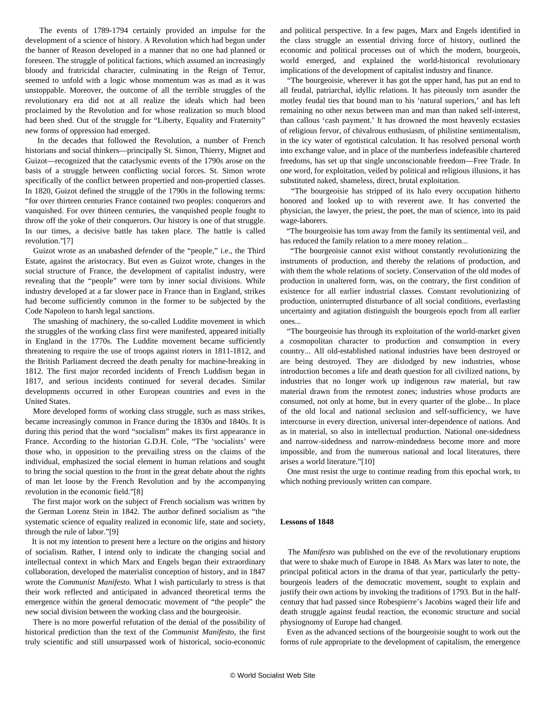The events of 1789-1794 certainly provided an impulse for the development of a science of history. A Revolution which had begun under the banner of Reason developed in a manner that no one had planned or foreseen. The struggle of political factions, which assumed an increasingly bloody and fratricidal character, culminating in the Reign of Terror, seemed to unfold with a logic whose momentum was as mad as it was unstoppable. Moreover, the outcome of all the terrible struggles of the revolutionary era did not at all realize the ideals which had been proclaimed by the Revolution and for whose realization so much blood had been shed. Out of the struggle for "Liberty, Equality and Fraternity" new forms of oppression had emerged.

 In the decades that followed the Revolution, a number of French historians and social thinkers—principally St. Simon, Thierry, Mignet and Guizot—recognized that the cataclysmic events of the 1790s arose on the basis of a struggle between conflicting social forces. St. Simon wrote specifically of the conflict between propertied and non-propertied classes. In 1820, Guizot defined the struggle of the 1790s in the following terms: "for over thirteen centuries France contained two peoples: conquerors and vanquished. For over thirteen centuries, the vanquished people fought to throw off the yoke of their conquerors. Our history is one of that struggle. In our times, a decisive battle has taken place. The battle is called revolution."[7]

 Guizot wrote as an unabashed defender of the "people," i.e., the Third Estate, against the aristocracy. But even as Guizot wrote, changes in the social structure of France, the development of capitalist industry, were revealing that the "people" were torn by inner social divisions. While industry developed at a far slower pace in France than in England, strikes had become sufficiently common in the former to be subjected by the Code Napoleon to harsh legal sanctions.

 The smashing of machinery, the so-called Luddite movement in which the struggles of the working class first were manifested, appeared initially in England in the 1770s. The Luddite movement became sufficiently threatening to require the use of troops against rioters in 1811-1812, and the British Parliament decreed the death penalty for machine-breaking in 1812. The first major recorded incidents of French Luddism began in 1817, and serious incidents continued for several decades. Similar developments occurred in other European countries and even in the United States.

 More developed forms of working class struggle, such as mass strikes, became increasingly common in France during the 1830s and 1840s. It is during this period that the word "socialism" makes its first appearance in France. According to the historian G.D.H. Cole, "The 'socialists' were those who, in opposition to the prevailing stress on the claims of the individual, emphasized the social element in human relations and sought to bring the social question to the front in the great debate about the rights of man let loose by the French Revolution and by the accompanying revolution in the economic field."[8]

 The first major work on the subject of French socialism was written by the German Lorenz Stein in 1842. The author defined socialism as "the systematic science of equality realized in economic life, state and society, through the rule of labor."[9]

 It is not my intention to present here a lecture on the origins and history of socialism. Rather, I intend only to indicate the changing social and intellectual context in which Marx and Engels began their extraordinary collaboration, developed the materialist conception of history, and in 1847 wrote the *Communist Manifesto.* What I wish particularly to stress is that their work reflected and anticipated in advanced theoretical terms the emergence within the general democratic movement of "the people" the new social division between the working class and the bourgeoisie.

 There is no more powerful refutation of the denial of the possibility of historical prediction than the text of the *Communist Manifesto*, the first truly scientific and still unsurpassed work of historical, socio-economic

and political perspective. In a few pages, Marx and Engels identified in the class struggle an essential driving force of history, outlined the economic and political processes out of which the modern, bourgeois, world emerged, and explained the world-historical revolutionary implications of the development of capitalist industry and finance.

 "The bourgeoisie, wherever it has got the upper hand, has put an end to all feudal, patriarchal, idyllic relations. It has piteously torn asunder the motley feudal ties that bound man to his 'natural superiors,' and has left remaining no other nexus between man and man than naked self-interest, than callous 'cash payment.' It has drowned the most heavenly ecstasies of religious fervor, of chivalrous enthusiasm, of philistine sentimentalism, in the icy water of egotistical calculation. It has resolved personal worth into exchange value, and in place of the numberless indefeasible chartered freedoms, has set up that single unconscionable freedom—Free Trade. In one word, for exploitation, veiled by political and religious illusions, it has substituted naked, shameless, direct, brutal exploitation.

 "The bourgeoisie has stripped of its halo every occupation hitherto honored and looked up to with reverent awe. It has converted the physician, the lawyer, the priest, the poet, the man of science, into its paid wage-laborers.

 "The bourgeoisie has torn away from the family its sentimental veil, and has reduced the family relation to a mere money relation...

 "The bourgeoisie cannot exist without constantly revolutionizing the instruments of production, and thereby the relations of production, and with them the whole relations of society. Conservation of the old modes of production in unaltered form, was, on the contrary, the first condition of existence for all earlier industrial classes. Constant revolutionizing of production, uninterrupted disturbance of all social conditions, everlasting uncertainty and agitation distinguish the bourgeois epoch from all earlier ones...

 "The bourgeoisie has through its exploitation of the world-market given a cosmopolitan character to production and consumption in every country... All old-established national industries have been destroyed or are being destroyed. They are dislodged by new industries, whose introduction becomes a life and death question for all civilized nations, by industries that no longer work up indigenous raw material, but raw material drawn from the remotest zones; industries whose products are consumed, not only at home, but in every quarter of the globe... In place of the old local and national seclusion and self-sufficiency, we have intercourse in every direction, universal inter-dependence of nations. And as in material, so also in intellectual production. National one-sidedness and narrow-sidedness and narrow-mindedness become more and more impossible, and from the numerous national and local literatures, there arises a world literature."[10]

 One must resist the urge to continue reading from this epochal work, to which nothing previously written can compare.

#### **Lessons of 1848**

 The *Manifesto* was published on the eve of the revolutionary eruptions that were to shake much of Europe in 1848. As Marx was later to note, the principal political actors in the drama of that year, particularly the pettybourgeois leaders of the democratic movement, sought to explain and justify their own actions by invoking the traditions of 1793. But in the halfcentury that had passed since Robespierre's Jacobins waged their life and death struggle against feudal reaction, the economic structure and social physiognomy of Europe had changed.

 Even as the advanced sections of the bourgeoisie sought to work out the forms of rule appropriate to the development of capitalism, the emergence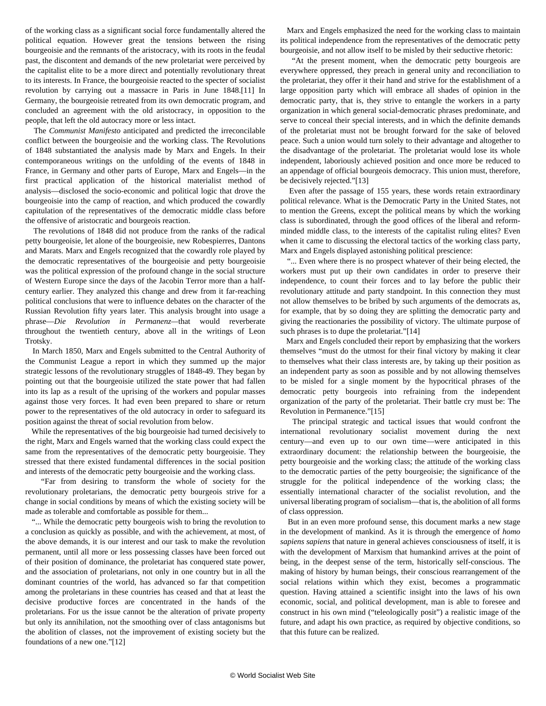of the working class as a significant social force fundamentally altered the political equation. However great the tensions between the rising bourgeoisie and the remnants of the aristocracy, with its roots in the feudal past, the discontent and demands of the new proletariat were perceived by the capitalist elite to be a more direct and potentially revolutionary threat to its interests. In France, the bourgeoisie reacted to the specter of socialist revolution by carrying out a massacre in Paris in June 1848.[11] In Germany, the bourgeoisie retreated from its own democratic program, and concluded an agreement with the old aristocracy, in opposition to the people, that left the old autocracy more or less intact.

 The *Communist Manifesto* anticipated and predicted the irreconcilable conflict between the bourgeoisie and the working class. The Revolutions of 1848 substantiated the analysis made by Marx and Engels. In their contemporaneous writings on the unfolding of the events of 1848 in France, in Germany and other parts of Europe, Marx and Engels—in the first practical application of the historical materialist method of analysis—disclosed the socio-economic and political logic that drove the bourgeoisie into the camp of reaction, and which produced the cowardly capitulation of the representatives of the democratic middle class before the offensive of aristocratic and bourgeois reaction.

 The revolutions of 1848 did not produce from the ranks of the radical petty bourgeoisie, let alone of the bourgeoisie, new Robespierres, Dantons and Marats. Marx and Engels recognized that the cowardly role played by the democratic representatives of the bourgeoisie and petty bourgeoisie was the political expression of the profound change in the social structure of Western Europe since the days of the Jacobin Terror more than a halfcentury earlier. They analyzed this change and drew from it far-reaching political conclusions that were to influence debates on the character of the Russian Revolution fifty years later. This analysis brought into usage a phrase—*Die Revolution in Permanenz—*that would reverberate throughout the twentieth century, above all in the writings of Leon Trotsky.

 In March 1850, Marx and Engels submitted to the Central Authority of the Communist League a report in which they summed up the major strategic lessons of the revolutionary struggles of 1848-49. They began by pointing out that the bourgeoisie utilized the state power that had fallen into its lap as a result of the uprising of the workers and popular masses against those very forces. It had even been prepared to share or return power to the representatives of the old autocracy in order to safeguard its position against the threat of social revolution from below.

 While the representatives of the big bourgeoisie had turned decisively to the right, Marx and Engels warned that the working class could expect the same from the representatives of the democratic petty bourgeoisie. They stressed that there existed fundamental differences in the social position and interests of the democratic petty bourgeoisie and the working class.

 "Far from desiring to transform the whole of society for the revolutionary proletarians, the democratic petty bourgeois strive for a change in social conditions by means of which the existing society will be made as tolerable and comfortable as possible for them...

 "... While the democratic petty bourgeois wish to bring the revolution to a conclusion as quickly as possible, and with the achievement, at most, of the above demands, it is our interest and our task to make the revolution permanent, until all more or less possessing classes have been forced out of their position of dominance, the proletariat has conquered state power, and the association of proletarians, not only in one country but in all the dominant countries of the world, has advanced so far that competition among the proletarians in these countries has ceased and that at least the decisive productive forces are concentrated in the hands of the proletarians. For us the issue cannot be the alteration of private property but only its annihilation, not the smoothing over of class antagonisms but the abolition of classes, not the improvement of existing society but the foundations of a new one."[12]

 Marx and Engels emphasized the need for the working class to maintain its political independence from the representatives of the democratic petty bourgeoisie, and not allow itself to be misled by their seductive rhetoric:

 "At the present moment, when the democratic petty bourgeois are everywhere oppressed, they preach in general unity and reconciliation to the proletariat, they offer it their hand and strive for the establishment of a large opposition party which will embrace all shades of opinion in the democratic party, that is, they strive to entangle the workers in a party organization in which general social-democratic phrases predominate, and serve to conceal their special interests, and in which the definite demands of the proletariat must not be brought forward for the sake of beloved peace. Such a union would turn solely to their advantage and altogether to the disadvantage of the proletariat. The proletariat would lose its whole independent, laboriously achieved position and once more be reduced to an appendage of official bourgeois democracy. This union must, therefore, be decisively rejected."[13]

 Even after the passage of 155 years, these words retain extraordinary political relevance. What is the Democratic Party in the United States, not to mention the Greens, except the political means by which the working class is subordinated, through the good offices of the liberal and reformminded middle class, to the interests of the capitalist ruling elites? Even when it came to discussing the electoral tactics of the working class party, Marx and Engels displayed astonishing political prescience:

 "... Even where there is no prospect whatever of their being elected, the workers must put up their own candidates in order to preserve their independence, to count their forces and to lay before the public their revolutionary attitude and party standpoint. In this connection they must not allow themselves to be bribed by such arguments of the democrats as, for example, that by so doing they are splitting the democratic party and giving the reactionaries the possibility of victory. The ultimate purpose of such phrases is to dupe the proletariat."[14]

 Marx and Engels concluded their report by emphasizing that the workers themselves "must do the utmost for their final victory by making it clear to themselves what their class interests are, by taking up their position as an independent party as soon as possible and by not allowing themselves to be misled for a single moment by the hypocritical phrases of the democratic petty bourgeois into refraining from the independent organization of the party of the proletariat. Their battle cry must be: The Revolution in Permanence."[15]

 The principal strategic and tactical issues that would confront the international revolutionary socialist movement during the next century—and even up to our own time—were anticipated in this extraordinary document: the relationship between the bourgeoisie, the petty bourgeoisie and the working class; the attitude of the working class to the democratic parties of the petty bourgeoisie; the significance of the struggle for the political independence of the working class; the essentially international character of the socialist revolution, and the universal liberating program of socialism—that is, the abolition of all forms of class oppression.

 But in an even more profound sense, this document marks a new stage in the development of mankind. As it is through the emergence of *homo sapiens sapiens* that nature in general achieves consciousness of itself, it is with the development of Marxism that humankind arrives at the point of being, in the deepest sense of the term, historically self-conscious. The making of history by human beings, their conscious rearrangement of the social relations within which they exist, becomes a programmatic question. Having attained a scientific insight into the laws of his own economic, social, and political development, man is able to foresee and construct in his own mind ("teleologically posit") a realistic image of the future, and adapt his own practice, as required by objective conditions, so that this future can be realized.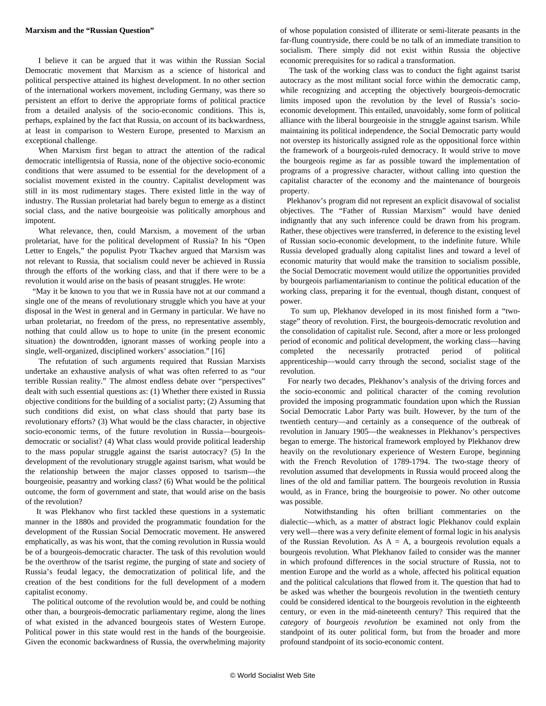#### **Marxism and the "Russian Question"**

 I believe it can be argued that it was within the Russian Social Democratic movement that Marxism as a science of historical and political perspective attained its highest development. In no other section of the international workers movement, including Germany, was there so persistent an effort to derive the appropriate forms of political practice from a detailed analysis of the socio-economic conditions. This is, perhaps, explained by the fact that Russia, on account of its backwardness, at least in comparison to Western Europe, presented to Marxism an exceptional challenge.

 When Marxism first began to attract the attention of the radical democratic intelligentsia of Russia, none of the objective socio-economic conditions that were assumed to be essential for the development of a socialist movement existed in the country. Capitalist development was still in its most rudimentary stages. There existed little in the way of industry. The Russian proletariat had barely begun to emerge as a distinct social class, and the native bourgeoisie was politically amorphous and impotent.

 What relevance, then, could Marxism, a movement of the urban proletariat, have for the political development of Russia? In his "Open Letter to Engels," the populist Pyotr Tkachev argued that Marxism was not relevant to Russia, that socialism could never be achieved in Russia through the efforts of the working class, and that if there were to be a revolution it would arise on the basis of peasant struggles. He wrote:

 "May it be known to you that we in Russia have not at our command a single one of the means of revolutionary struggle which you have at your disposal in the West in general and in Germany in particular. We have no urban proletariat, no freedom of the press, no representative assembly, nothing that could allow us to hope to unite (in the present economic situation) the downtrodden, ignorant masses of working people into a single, well-organized, disciplined workers' association." [16]

 The refutation of such arguments required that Russian Marxists undertake an exhaustive analysis of what was often referred to as "our terrible Russian reality." The almost endless debate over "perspectives" dealt with such essential questions as: (1) Whether there existed in Russia objective conditions for the building of a socialist party; (2) Assuming that such conditions did exist, on what class should that party base its revolutionary efforts? (3) What would be the class character, in objective socio-economic terms, of the future revolution in Russia—bourgeoisdemocratic or socialist? (4) What class would provide political leadership to the mass popular struggle against the tsarist autocracy? (5) In the development of the revolutionary struggle against tsarism, what would be the relationship between the major classes opposed to tsarism—the bourgeoisie, peasantry and working class? (6) What would be the political outcome, the form of government and state, that would arise on the basis of the revolution?

 It was Plekhanov who first tackled these questions in a systematic manner in the 1880s and provided the programmatic foundation for the development of the Russian Social Democratic movement. He answered emphatically, as was his wont, that the coming revolution in Russia would be of a bourgeois-democratic character. The task of this revolution would be the overthrow of the tsarist regime, the purging of state and society of Russia's feudal legacy, the democratization of political life, and the creation of the best conditions for the full development of a modern capitalist economy.

 The political outcome of the revolution would be, and could be nothing other than, a bourgeois-democratic parliamentary regime, along the lines of what existed in the advanced bourgeois states of Western Europe. Political power in this state would rest in the hands of the bourgeoisie. Given the economic backwardness of Russia, the overwhelming majority of whose population consisted of illiterate or semi-literate peasants in the far-flung countryside, there could be no talk of an immediate transition to socialism. There simply did not exist within Russia the objective economic prerequisites for so radical a transformation.

 The task of the working class was to conduct the fight against tsarist autocracy as the most militant social force within the democratic camp, while recognizing and accepting the objectively bourgeois-democratic limits imposed upon the revolution by the level of Russia's socioeconomic development. This entailed, unavoidably, some form of political alliance with the liberal bourgeoisie in the struggle against tsarism. While maintaining its political independence, the Social Democratic party would not overstep its historically assigned role as the oppositional force within the framework of a bourgeois-ruled democracy. It would strive to move the bourgeois regime as far as possible toward the implementation of programs of a progressive character, without calling into question the capitalist character of the economy and the maintenance of bourgeois property.

 Plekhanov's program did not represent an explicit disavowal of socialist objectives. The "Father of Russian Marxism" would have denied indignantly that any such inference could be drawn from his program. Rather, these objectives were transferred, in deference to the existing level of Russian socio-economic development, to the indefinite future. While Russia developed gradually along capitalist lines and toward a level of economic maturity that would make the transition to socialism possible, the Social Democratic movement would utilize the opportunities provided by bourgeois parliamentarianism to continue the political education of the working class, preparing it for the eventual, though distant, conquest of power.

 To sum up, Plekhanov developed in its most finished form a "twostage" theory of revolution. First, the bourgeois-democratic revolution and the consolidation of capitalist rule. Second, after a more or less prolonged period of economic and political development, the working class—having completed the necessarily protracted period of political apprenticeship—would carry through the second, socialist stage of the revolution.

 For nearly two decades, Plekhanov's analysis of the driving forces and the socio-economic and political character of the coming revolution provided the imposing programmatic foundation upon which the Russian Social Democratic Labor Party was built. However, by the turn of the twentieth century—and certainly as a consequence of the outbreak of revolution in January 1905—the weaknesses in Plekhanov's perspectives began to emerge. The historical framework employed by Plekhanov drew heavily on the revolutionary experience of Western Europe, beginning with the French Revolution of 1789-1794. The two-stage theory of revolution assumed that developments in Russia would proceed along the lines of the old and familiar pattern. The bourgeois revolution in Russia would, as in France, bring the bourgeoisie to power. No other outcome was possible.

 Notwithstanding his often brilliant commentaries on the dialectic—which, as a matter of abstract logic Plekhanov could explain very well—there was a very definite element of formal logic in his analysis of the Russian Revolution. As  $A = A$ , a bourgeois revolution equals a bourgeois revolution. What Plekhanov failed to consider was the manner in which profound differences in the social structure of Russia, not to mention Europe and the world as a whole, affected his political equation and the political calculations that flowed from it. The question that had to be asked was whether the bourgeois revolution in the twentieth century could be considered identical to the bourgeois revolution in the eighteenth century, or even in the mid-nineteenth century? This required that the *category* of *bourgeois revolution* be examined not only from the standpoint of its outer political form, but from the broader and more profound standpoint of its socio-economic content.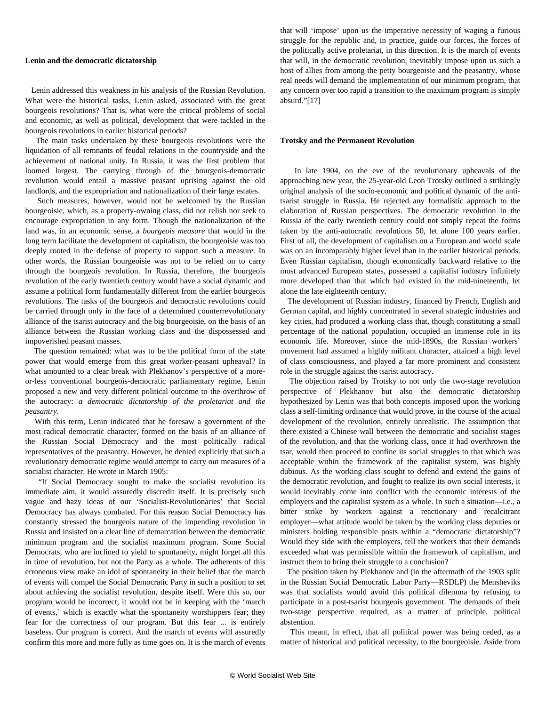#### **Lenin and the democratic dictatorship**

 Lenin addressed this weakness in his analysis of the Russian Revolution. What were the historical tasks, Lenin asked, associated with the great bourgeois revolutions? That is, what were the critical problems of social and economic, as well as political, development that were tackled in the bourgeois revolutions in earlier historical periods?

 The main tasks undertaken by these bourgeois revolutions were the liquidation of all remnants of feudal relations in the countryside and the achievement of national unity. In Russia, it was the first problem that loomed largest. The carrying through of the bourgeois-democratic revolution would entail a massive peasant uprising against the old landlords, and the expropriation and nationalization of their large estates.

 Such measures, however, would not be welcomed by the Russian bourgeoisie, which, as a property-owning class, did not relish nor seek to encourage expropriation in any form. Though the nationalization of the land was, in an economic sense, a *bourgeois measure* that would in the long term facilitate the development of capitalism, the bourgeoisie was too deeply rooted in the defense of property to support such a measure. In other words, the Russian bourgeoisie was not to be relied on to carry through the bourgeois revolution. In Russia, therefore, the bourgeois revolution of the early twentieth century would have a social dynamic and assume a political form fundamentally different from the earlier bourgeois revolutions. The tasks of the bourgeois and democratic revolutions could be carried through only in the face of a determined counterrevolutionary alliance of the tsarist autocracy and the big bourgeoisie, on the basis of an alliance between the Russian working class and the dispossessed and impoverished peasant masses.

 The question remained: what was to be the political form of the state power that would emerge from this great worker-peasant upheaval? In what amounted to a clear break with Plekhanov's perspective of a moreor-less conventional bourgeois-democratic parliamentary regime, Lenin proposed a new and very different political outcome to the overthrow of the autocracy: *a democratic dictatorship of the proletariat and the peasantry*.

 With this term, Lenin indicated that he foresaw a government of the most radical democratic character, formed on the basis of an alliance of the Russian Social Democracy and the most politically radical representatives of the peasantry. However, he denied explicitly that such a revolutionary democratic regime would attempt to carry out measures of a socialist character. He wrote in March 1905:

 "If Social Democracy sought to make the socialist revolution its immediate aim, it would assuredly discredit itself. It is precisely such vague and hazy ideas of our 'Socialist-Revolutionaries' that Social Democracy has always combated. For this reason Social Democracy has constantly stressed the bourgeois nature of the impending revolution in Russia and insisted on a clear line of demarcation between the democratic minimum program and the socialist maximum program. Some Social Democrats, who are inclined to yield to spontaneity, might forget all this in time of revolution, but not the Party as a whole. The adherents of this erroneous view make an idol of spontaneity in their belief that the march of events will compel the Social Democratic Party in such a position to set about achieving the socialist revolution, despite itself. Were this so, our program would be incorrect, it would not be in keeping with the 'march of events,' which is exactly what the spontaneity worshippers fear; they fear for the correctness of our program. But this fear ... is entirely baseless. Our program is correct. And the march of events will assuredly confirm this more and more fully as time goes on. It is the march of events

that will 'impose' upon us the imperative necessity of waging a furious struggle for the republic and, in practice, guide our forces, the forces of the politically active proletariat, in this direction. It is the march of events that will, in the democratic revolution, inevitably impose upon us such a host of allies from among the petty bourgeoisie and the peasantry, whose real needs will demand the implementation of our minimum program, that any concern over too rapid a transition to the maximum program is simply absurd."[17]

#### **Trotsky and the Permanent Revolution**

 In late 1904, on the eve of the revolutionary upheavals of the approaching new year, the 25-year-old Leon Trotsky outlined a strikingly original analysis of the socio-economic and political dynamic of the antitsarist struggle in Russia. He rejected any formalistic approach to the elaboration of Russian perspectives. The democratic revolution in the Russia of the early twentieth century could not simply repeat the forms taken by the anti-autocratic revolutions 50, let alone 100 years earlier. First of all, the development of capitalism on a European and world scale was on an incomparably higher level than in the earlier historical periods. Even Russian capitalism, though economically backward relative to the most advanced European states, possessed a capitalist industry infinitely more developed than that which had existed in the mid-nineteenth, let alone the late eighteenth century.

 The development of Russian industry, financed by French, English and German capital, and highly concentrated in several strategic industries and key cities, had produced a working class that, though constituting a small percentage of the national population, occupied an immense role in its economic life. Moreover, since the mid-1890s, the Russian workers' movement had assumed a highly militant character, attained a high level of class consciousness, and played a far more prominent and consistent role in the struggle against the tsarist autocracy.

 The objection raised by Trotsky to not only the two-stage revolution perspective of Plekhanov but also the democratic dictatorship hypothesized by Lenin was that both concepts imposed upon the working class a self-limiting ordinance that would prove, in the course of the actual development of the revolution, entirely unrealistic. The assumption that there existed a Chinese wall between the democratic and socialist stages of the revolution, and that the working class, once it had overthrown the tsar, would then proceed to confine its social struggles to that which was acceptable within the framework of the capitalist system, was highly dubious. As the working class sought to defend and extend the gains of the democratic revolution, and fought to realize its own social interests, it would inevitably come into conflict with the economic interests of the employers and the capitalist system as a whole. In such a situation—i.e., a bitter strike by workers against a reactionary and recalcitrant employer—what attitude would be taken by the working class deputies or ministers holding responsible posts within a "democratic dictatorship"? Would they side with the employers, tell the workers that their demands exceeded what was permissible within the framework of capitalism, and instruct them to bring their struggle to a conclusion?

 The position taken by Plekhanov and (in the aftermath of the 1903 split in the Russian Social Democratic Labor Party—RSDLP) the Mensheviks was that socialists would avoid this political dilemma by refusing to participate in a post-tsarist bourgeois government. The demands of their two-stage perspective required, as a matter of principle, political abstention.

 This meant, in effect, that all political power was being ceded, as a matter of historical and political necessity, to the bourgeoisie. Aside from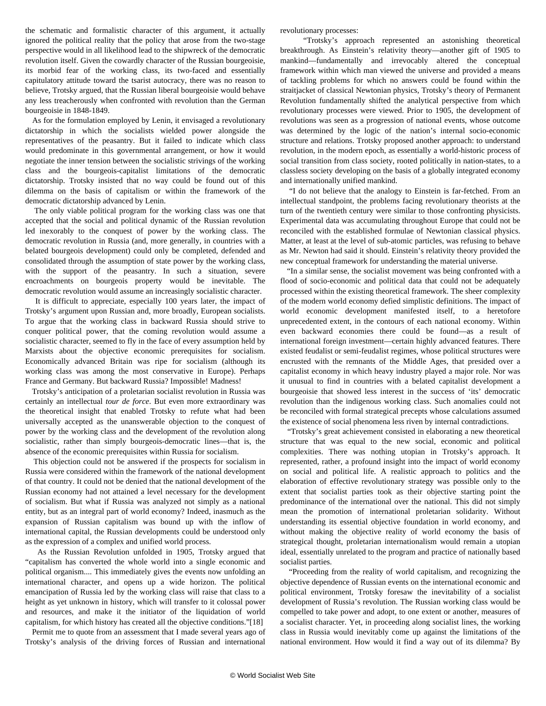the schematic and formalistic character of this argument, it actually ignored the political reality that the policy that arose from the two-stage perspective would in all likelihood lead to the shipwreck of the democratic revolution itself. Given the cowardly character of the Russian bourgeoisie, its morbid fear of the working class, its two-faced and essentially capitulatory attitude toward the tsarist autocracy, there was no reason to believe, Trotsky argued, that the Russian liberal bourgeoisie would behave any less treacherously when confronted with revolution than the German bourgeoisie in 1848-1849.

 As for the formulation employed by Lenin, it envisaged a revolutionary dictatorship in which the socialists wielded power alongside the representatives of the peasantry. But it failed to indicate which class would predominate in this governmental arrangement, or how it would negotiate the inner tension between the socialistic strivings of the working class and the bourgeois-capitalist limitations of the democratic dictatorship. Trotsky insisted that no way could be found out of this dilemma on the basis of capitalism or within the framework of the democratic dictatorship advanced by Lenin.

 The only viable political program for the working class was one that accepted that the social and political dynamic of the Russian revolution led inexorably to the conquest of power by the working class. The democratic revolution in Russia (and, more generally, in countries with a belated bourgeois development) could only be completed, defended and consolidated through the assumption of state power by the working class, with the support of the peasantry. In such a situation, severe encroachments on bourgeois property would be inevitable. The democratic revolution would assume an increasingly socialistic character.

 It is difficult to appreciate, especially 100 years later, the impact of Trotsky's argument upon Russian and, more broadly, European socialists. To argue that the working class in backward Russia should strive to conquer political power, that the coming revolution would assume a socialistic character, seemed to fly in the face of every assumption held by Marxists about the objective economic prerequisites for socialism. Economically advanced Britain was ripe for socialism (although its working class was among the most conservative in Europe). Perhaps France and Germany. But backward Russia? Impossible! Madness!

 Trotsky's anticipation of a proletarian socialist revolution in Russia was certainly an intellectual *tour de force*. But even more extraordinary was the theoretical insight that enabled Trotsky to refute what had been universally accepted as the unanswerable objection to the conquest of power by the working class and the development of the revolution along socialistic, rather than simply bourgeois-democratic lines—that is, the absence of the economic prerequisites within Russia for socialism.

 This objection could not be answered if the prospects for socialism in Russia were considered within the framework of the national development of that country. It could not be denied that the national development of the Russian economy had not attained a level necessary for the development of socialism. But what if Russia was analyzed not simply as a national entity, but as an integral part of world economy? Indeed, inasmuch as the expansion of Russian capitalism was bound up with the inflow of international capital, the Russian developments could be understood only as the expression of a complex and unified world process.

 As the Russian Revolution unfolded in 1905, Trotsky argued that "capitalism has converted the whole world into a single economic and political organism.... This immediately gives the events now unfolding an international character, and opens up a wide horizon. The political emancipation of Russia led by the working class will raise that class to a height as yet unknown in history, which will transfer to it colossal power and resources, and make it the initiator of the liquidation of world capitalism, for which history has created all the objective conditions."[18]

 Permit me to quote from an assessment that I made several years ago of Trotsky's analysis of the driving forces of Russian and international revolutionary processes:

 "Trotsky's approach represented an astonishing theoretical breakthrough. As Einstein's relativity theory—another gift of 1905 to mankind—fundamentally and irrevocably altered the conceptual framework within which man viewed the universe and provided a means of tackling problems for which no answers could be found within the straitjacket of classical Newtonian physics, Trotsky's theory of Permanent Revolution fundamentally shifted the analytical perspective from which revolutionary processes were viewed. Prior to 1905, the development of revolutions was seen as a progression of national events, whose outcome was determined by the logic of the nation's internal socio-economic structure and relations. Trotsky proposed another approach: to understand revolution, in the modern epoch, as essentially a world-historic process of social transition from class society, rooted politically in nation-states, to a classless society developing on the basis of a globally integrated economy and internationally unified mankind.

 "I do not believe that the analogy to Einstein is far-fetched. From an intellectual standpoint, the problems facing revolutionary theorists at the turn of the twentieth century were similar to those confronting physicists. Experimental data was accumulating throughout Europe that could not be reconciled with the established formulae of Newtonian classical physics. Matter, at least at the level of sub-atomic particles, was refusing to behave as Mr. Newton had said it should. Einstein's relativity theory provided the new conceptual framework for understanding the material universe.

 "In a similar sense, the socialist movement was being confronted with a flood of socio-economic and political data that could not be adequately processed within the existing theoretical framework. The sheer complexity of the modern world economy defied simplistic definitions. The impact of world economic development manifested itself, to a heretofore unprecedented extent, in the contours of each national economy. Within even backward economies there could be found—as a result of international foreign investment—certain highly advanced features. There existed feudalist or semi-feudalist regimes, whose political structures were encrusted with the remnants of the Middle Ages, that presided over a capitalist economy in which heavy industry played a major role. Nor was it unusual to find in countries with a belated capitalist development a bourgeoisie that showed less interest in the success of 'its' democratic revolution than the indigenous working class. Such anomalies could not be reconciled with formal strategical precepts whose calculations assumed the existence of social phenomena less riven by internal contradictions.

 "Trotsky's great achievement consisted in elaborating a new theoretical structure that was equal to the new social, economic and political complexities. There was nothing utopian in Trotsky's approach. It represented, rather, a profound insight into the impact of world economy on social and political life. A realistic approach to politics and the elaboration of effective revolutionary strategy was possible only to the extent that socialist parties took as their objective starting point the predominance of the international over the national. This did not simply mean the promotion of international proletarian solidarity. Without understanding its essential objective foundation in world economy, and without making the objective reality of world economy the basis of strategical thought, proletarian internationalism would remain a utopian ideal, essentially unrelated to the program and practice of nationally based socialist parties.

 "Proceeding from the reality of world capitalism, and recognizing the objective dependence of Russian events on the international economic and political environment, Trotsky foresaw the inevitability of a socialist development of Russia's revolution. The Russian working class would be compelled to take power and adopt, to one extent or another, measures of a socialist character. Yet, in proceeding along socialist lines, the working class in Russia would inevitably come up against the limitations of the national environment. How would it find a way out of its dilemma? By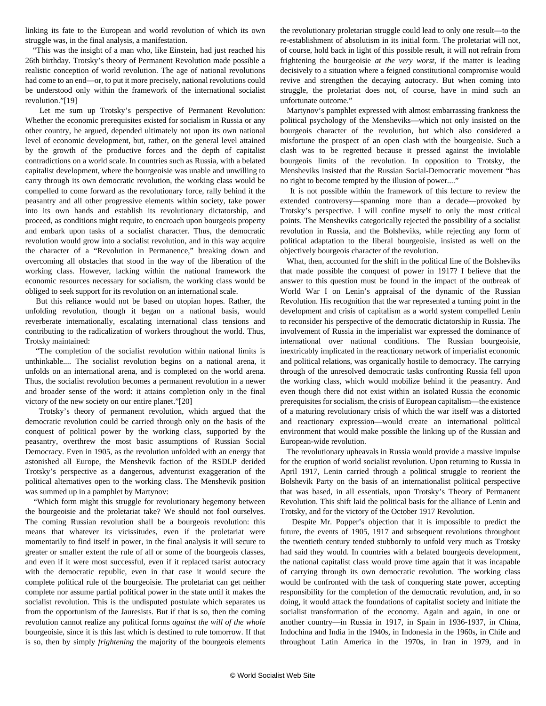linking its fate to the European and world revolution of which its own struggle was, in the final analysis, a manifestation.

 "This was the insight of a man who, like Einstein, had just reached his 26th birthday. Trotsky's theory of Permanent Revolution made possible a realistic conception of world revolution. The age of national revolutions had come to an end—or, to put it more precisely, national revolutions could be understood only within the framework of the international socialist revolution."[19]

 Let me sum up Trotsky's perspective of Permanent Revolution: Whether the economic prerequisites existed for socialism in Russia or any other country, he argued, depended ultimately not upon its own national level of economic development, but, rather, on the general level attained by the growth of the productive forces and the depth of capitalist contradictions on a world scale. In countries such as Russia, with a belated capitalist development, where the bourgeoisie was unable and unwilling to carry through its own democratic revolution, the working class would be compelled to come forward as the revolutionary force, rally behind it the peasantry and all other progressive elements within society, take power into its own hands and establish its revolutionary dictatorship, and proceed, as conditions might require, to encroach upon bourgeois property and embark upon tasks of a socialist character. Thus, the democratic revolution would grow into a socialist revolution, and in this way acquire the character of a "Revolution in Permanence," breaking down and overcoming all obstacles that stood in the way of the liberation of the working class. However, lacking within the national framework the economic resources necessary for socialism, the working class would be obliged to seek support for its revolution on an international scale.

 But this reliance would not be based on utopian hopes. Rather, the unfolding revolution, though it began on a national basis, would reverberate internationally, escalating international class tensions and contributing to the radicalization of workers throughout the world. Thus, Trotsky maintained:

 "The completion of the socialist revolution within national limits is unthinkable.... The socialist revolution begins on a national arena, it unfolds on an international arena, and is completed on the world arena. Thus, the socialist revolution becomes a permanent revolution in a newer and broader sense of the word: it attains completion only in the final victory of the new society on our entire planet."[20]

 Trotsky's theory of permanent revolution, which argued that the democratic revolution could be carried through only on the basis of the conquest of political power by the working class, supported by the peasantry, overthrew the most basic assumptions of Russian Social Democracy. Even in 1905, as the revolution unfolded with an energy that astonished all Europe, the Menshevik faction of the RSDLP derided Trotsky's perspective as a dangerous, adventurist exaggeration of the political alternatives open to the working class. The Menshevik position was summed up in a pamphlet by Martynov:

 "Which form might this struggle for revolutionary hegemony between the bourgeoisie and the proletariat take? We should not fool ourselves. The coming Russian revolution shall be a bourgeois revolution: this means that whatever its vicissitudes, even if the proletariat were momentarily to find itself in power, in the final analysis it will secure to greater or smaller extent the rule of all or some of the bourgeois classes, and even if it were most successful, even if it replaced tsarist autocracy with the democratic republic, even in that case it would secure the complete political rule of the bourgeoisie. The proletariat can get neither complete nor assume partial political power in the state until it makes the socialist revolution. This is the undisputed postulate which separates us from the opportunism of the Jauresists. But if that is so, then the coming revolution cannot realize any political forms *against the will of the whole* bourgeoisie, since it is this last which is destined to rule tomorrow. If that is so, then by simply *frightening* the majority of the bourgeois elements

the revolutionary proletarian struggle could lead to only one result—to the re-establishment of absolutism in its initial form. The proletariat will not, of course, hold back in light of this possible result, it will not refrain from frightening the bourgeoisie *at the very worst*, if the matter is leading decisively to a situation where a feigned constitutional compromise would revive and strengthen the decaying autocracy. But when coming into struggle, the proletariat does not, of course, have in mind such an unfortunate outcome."

 Martynov's pamphlet expressed with almost embarrassing frankness the political psychology of the Mensheviks—which not only insisted on the bourgeois character of the revolution, but which also considered a misfortune the prospect of an open clash with the bourgeoisie. Such a clash was to be regretted because it pressed against the inviolable bourgeois limits of the revolution. In opposition to Trotsky, the Mensheviks insisted that the Russian Social-Democratic movement "has no right to become tempted by the illusion of power...."

 It is not possible within the framework of this lecture to review the extended controversy—spanning more than a decade—provoked by Trotsky's perspective. I will confine myself to only the most critical points. The Mensheviks categorically rejected the possibility of a socialist revolution in Russia, and the Bolsheviks, while rejecting any form of political adaptation to the liberal bourgeoisie, insisted as well on the objectively bourgeois character of the revolution.

 What, then, accounted for the shift in the political line of the Bolsheviks that made possible the conquest of power in 1917? I believe that the answer to this question must be found in the impact of the outbreak of World War I on Lenin's appraisal of the dynamic of the Russian Revolution. His recognition that the war represented a turning point in the development and crisis of capitalism as a world system compelled Lenin to reconsider his perspective of the democratic dictatorship in Russia. The involvement of Russia in the imperialist war expressed the dominance of international over national conditions. The Russian bourgeoisie, inextricably implicated in the reactionary network of imperialist economic and political relations, was organically hostile to democracy. The carrying through of the unresolved democratic tasks confronting Russia fell upon the working class, which would mobilize behind it the peasantry. And even though there did not exist within an isolated Russia the economic prerequisites for socialism, the crisis of European capitalism—the existence of a maturing revolutionary crisis of which the war itself was a distorted and reactionary expression—would create an international political environment that would make possible the linking up of the Russian and European-wide revolution.

 The revolutionary upheavals in Russia would provide a massive impulse for the eruption of world socialist revolution. Upon returning to Russia in April 1917, Lenin carried through a political struggle to reorient the Bolshevik Party on the basis of an internationalist political perspective that was based, in all essentials, upon Trotsky's Theory of Permanent Revolution. This shift laid the political basis for the alliance of Lenin and Trotsky, and for the victory of the October 1917 Revolution.

 Despite Mr. Popper's objection that it is impossible to predict the future, the events of 1905, 1917 and subsequent revolutions throughout the twentieth century tended stubbornly to unfold very much as Trotsky had said they would. In countries with a belated bourgeois development, the national capitalist class would prove time again that it was incapable of carrying through its own democratic revolution. The working class would be confronted with the task of conquering state power, accepting responsibility for the completion of the democratic revolution, and, in so doing, it would attack the foundations of capitalist society and initiate the socialist transformation of the economy. Again and again, in one or another country—in Russia in 1917, in Spain in 1936-1937, in China, Indochina and India in the 1940s, in Indonesia in the 1960s, in Chile and throughout Latin America in the 1970s, in Iran in 1979, and in